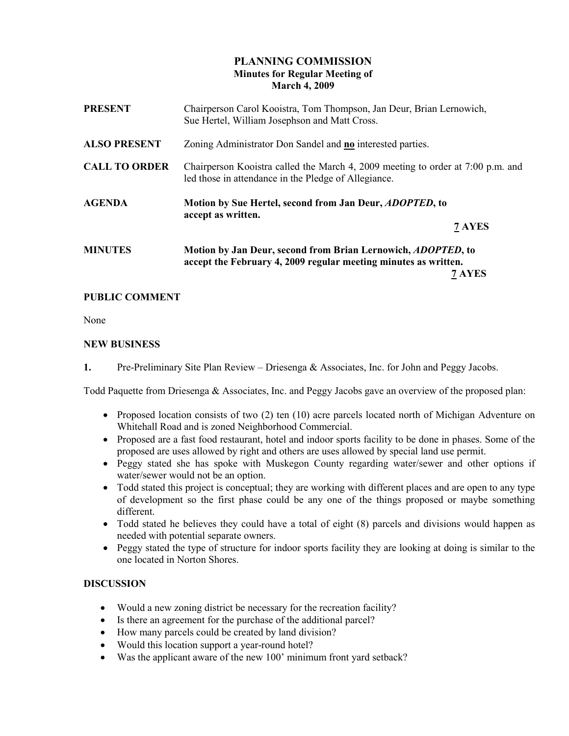# PLANNING COMMISSION Minutes for Regular Meeting of March 4, 2009

| Chairperson Carol Kooistra, Tom Thompson, Jan Deur, Brian Lernowich,<br>Sue Hertel, William Josephson and Matt Cross.                   |        |
|-----------------------------------------------------------------------------------------------------------------------------------------|--------|
| Zoning Administrator Don Sandel and no interested parties.                                                                              |        |
| Chairperson Kooistra called the March 4, 2009 meeting to order at 7:00 p.m. and<br>led those in attendance in the Pledge of Allegiance. |        |
| Motion by Sue Hertel, second from Jan Deur, <i>ADOPTED</i> , to                                                                         |        |
|                                                                                                                                         |        |
| accept as written.                                                                                                                      | 7 AYES |
|                                                                                                                                         |        |

# PUBLIC COMMENT

None

## NEW BUSINESS

1. Pre-Preliminary Site Plan Review – Driesenga & Associates, Inc. for John and Peggy Jacobs.

Todd Paquette from Driesenga & Associates, Inc. and Peggy Jacobs gave an overview of the proposed plan:

- Proposed location consists of two (2) ten (10) acre parcels located north of Michigan Adventure on Whitehall Road and is zoned Neighborhood Commercial.
- Proposed are a fast food restaurant, hotel and indoor sports facility to be done in phases. Some of the proposed are uses allowed by right and others are uses allowed by special land use permit.
- Peggy stated she has spoke with Muskegon County regarding water/sewer and other options if water/sewer would not be an option.
- Todd stated this project is conceptual; they are working with different places and are open to any type of development so the first phase could be any one of the things proposed or maybe something different.
- Todd stated he believes they could have a total of eight (8) parcels and divisions would happen as needed with potential separate owners.
- Peggy stated the type of structure for indoor sports facility they are looking at doing is similar to the one located in Norton Shores.

## **DISCUSSION**

- Would a new zoning district be necessary for the recreation facility?
- Is there an agreement for the purchase of the additional parcel?
- How many parcels could be created by land division?
- Would this location support a year-round hotel?
- Was the applicant aware of the new 100' minimum front yard setback?